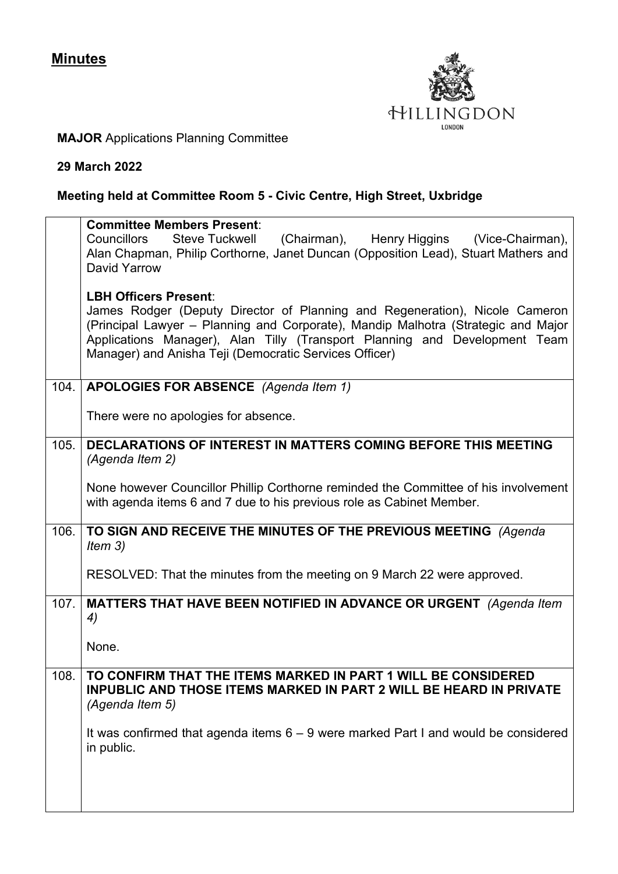

## **MAJOR** Applications Planning Committee

## **29 March 2022**

## **Meeting held at Committee Room 5 - Civic Centre, High Street, Uxbridge**

|      | <b>Committee Members Present:</b>                                                                                                                                                                                                                                                                                                        |
|------|------------------------------------------------------------------------------------------------------------------------------------------------------------------------------------------------------------------------------------------------------------------------------------------------------------------------------------------|
|      | (Chairman), Henry Higgins (Vice-Chairman),<br>Councillors<br>Steve Tuckwell<br>Alan Chapman, Philip Corthorne, Janet Duncan (Opposition Lead), Stuart Mathers and<br>David Yarrow                                                                                                                                                        |
|      | <b>LBH Officers Present:</b><br>James Rodger (Deputy Director of Planning and Regeneration), Nicole Cameron<br>(Principal Lawyer - Planning and Corporate), Mandip Malhotra (Strategic and Major<br>Applications Manager), Alan Tilly (Transport Planning and Development Team<br>Manager) and Anisha Teji (Democratic Services Officer) |
| 104. | APOLOGIES FOR ABSENCE (Agenda Item 1)                                                                                                                                                                                                                                                                                                    |
|      | There were no apologies for absence.                                                                                                                                                                                                                                                                                                     |
| 105. | DECLARATIONS OF INTEREST IN MATTERS COMING BEFORE THIS MEETING<br>(Agenda Item 2)                                                                                                                                                                                                                                                        |
|      | None however Councillor Phillip Corthorne reminded the Committee of his involvement<br>with agenda items 6 and 7 due to his previous role as Cabinet Member.                                                                                                                                                                             |
| 106. | TO SIGN AND RECEIVE THE MINUTES OF THE PREVIOUS MEETING (Agenda<br>Item $3)$                                                                                                                                                                                                                                                             |
|      | RESOLVED: That the minutes from the meeting on 9 March 22 were approved.                                                                                                                                                                                                                                                                 |
| 107. | MATTERS THAT HAVE BEEN NOTIFIED IN ADVANCE OR URGENT (Agenda Item<br>4)                                                                                                                                                                                                                                                                  |
|      | None.                                                                                                                                                                                                                                                                                                                                    |
| 108. | TO CONFIRM THAT THE ITEMS MARKED IN PART 1 WILL BE CONSIDERED<br><b>INPUBLIC AND THOSE ITEMS MARKED IN PART 2 WILL BE HEARD IN PRIVATE</b><br>(Agenda Item 5)                                                                                                                                                                            |
|      | It was confirmed that agenda items 6 - 9 were marked Part I and would be considered<br>in public.                                                                                                                                                                                                                                        |
|      |                                                                                                                                                                                                                                                                                                                                          |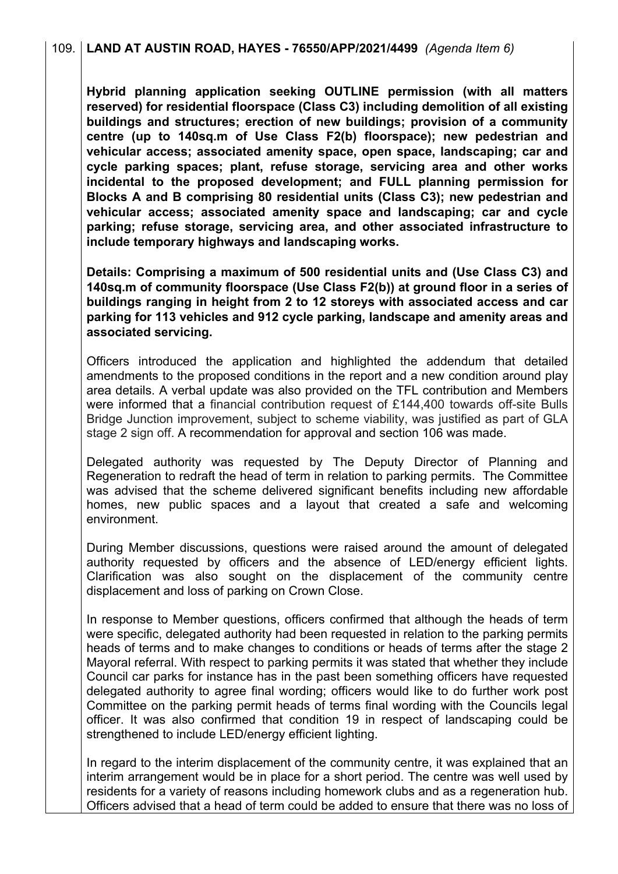**Hybrid planning application seeking OUTLINE permission (with all matters reserved) for residential floorspace (Class C3) including demolition of all existing buildings and structures; erection of new buildings; provision of a community centre (up to 140sq.m of Use Class F2(b) floorspace); new pedestrian and vehicular access; associated amenity space, open space, landscaping; car and cycle parking spaces; plant, refuse storage, servicing area and other works incidental to the proposed development; and FULL planning permission for Blocks A and B comprising 80 residential units (Class C3); new pedestrian and vehicular access; associated amenity space and landscaping; car and cycle parking; refuse storage, servicing area, and other associated infrastructure to include temporary highways and landscaping works.**

**Details: Comprising a maximum of 500 residential units and (Use Class C3) and 140sq.m of community floorspace (Use Class F2(b)) at ground floor in a series of buildings ranging in height from 2 to 12 storeys with associated access and car parking for 113 vehicles and 912 cycle parking, landscape and amenity areas and associated servicing.**

Officers introduced the application and highlighted the addendum that detailed amendments to the proposed conditions in the report and a new condition around play area details. A verbal update was also provided on the TFL contribution and Members were informed that a financial contribution request of £144,400 towards off-site Bulls Bridge Junction improvement, subject to scheme viability, was justified as part of GLA stage 2 sign off. A recommendation for approval and section 106 was made.

Delegated authority was requested by The Deputy Director of Planning and Regeneration to redraft the head of term in relation to parking permits. The Committee was advised that the scheme delivered significant benefits including new affordable homes, new public spaces and a layout that created a safe and welcoming environment.

During Member discussions, questions were raised around the amount of delegated authority requested by officers and the absence of LED/energy efficient lights. Clarification was also sought on the displacement of the community centre displacement and loss of parking on Crown Close.

In response to Member questions, officers confirmed that although the heads of term were specific, delegated authority had been requested in relation to the parking permits heads of terms and to make changes to conditions or heads of terms after the stage 2 Mayoral referral. With respect to parking permits it was stated that whether they include Council car parks for instance has in the past been something officers have requested delegated authority to agree final wording; officers would like to do further work post Committee on the parking permit heads of terms final wording with the Councils legal officer. It was also confirmed that condition 19 in respect of landscaping could be strengthened to include LED/energy efficient lighting.

In regard to the interim displacement of the community centre, it was explained that an interim arrangement would be in place for a short period. The centre was well used by residents for a variety of reasons including homework clubs and as a regeneration hub. Officers advised that a head of term could be added to ensure that there was no loss of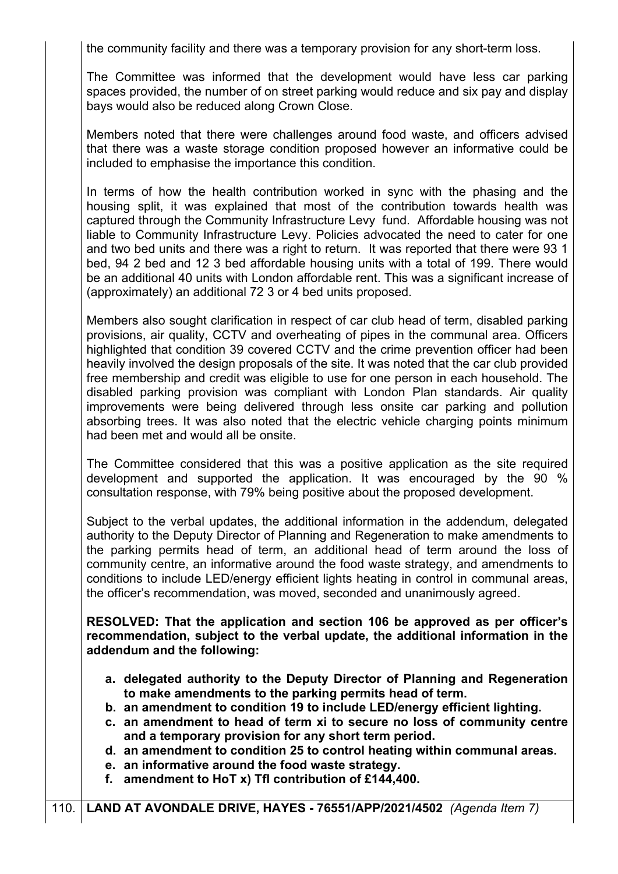the community facility and there was a temporary provision for any short-term loss.

The Committee was informed that the development would have less car parking spaces provided, the number of on street parking would reduce and six pay and display bays would also be reduced along Crown Close.

Members noted that there were challenges around food waste, and officers advised that there was a waste storage condition proposed however an informative could be included to emphasise the importance this condition.

In terms of how the health contribution worked in sync with the phasing and the housing split, it was explained that most of the contribution towards health was captured through the Community Infrastructure Levy fund. Affordable housing was not liable to Community Infrastructure Levy. Policies advocated the need to cater for one and two bed units and there was a right to return. It was reported that there were 93 1 bed, 94 2 bed and 12 3 bed affordable housing units with a total of 199. There would be an additional 40 units with London affordable rent. This was a significant increase of (approximately) an additional 72 3 or 4 bed units proposed.

Members also sought clarification in respect of car club head of term, disabled parking provisions, air quality, CCTV and overheating of pipes in the communal area. Officers highlighted that condition 39 covered CCTV and the crime prevention officer had been heavily involved the design proposals of the site. It was noted that the car club provided free membership and credit was eligible to use for one person in each household. The disabled parking provision was compliant with London Plan standards. Air quality improvements were being delivered through less onsite car parking and pollution absorbing trees. It was also noted that the electric vehicle charging points minimum had been met and would all be onsite.

The Committee considered that this was a positive application as the site required development and supported the application. It was encouraged by the 90 % consultation response, with 79% being positive about the proposed development.

Subject to the verbal updates, the additional information in the addendum, delegated authority to the Deputy Director of Planning and Regeneration to make amendments to the parking permits head of term, an additional head of term around the loss of community centre, an informative around the food waste strategy, and amendments to conditions to include LED/energy efficient lights heating in control in communal areas, the officer's recommendation, was moved, seconded and unanimously agreed.

**RESOLVED: That the application and section 106 be approved as per officer's recommendation, subject to the verbal update, the additional information in the addendum and the following:**

- **a. delegated authority to the Deputy Director of Planning and Regeneration to make amendments to the parking permits head of term.**
- **b. an amendment to condition 19 to include LED/energy efficient lighting.**
- **c. an amendment to head of term xi to secure no loss of community centre and a temporary provision for any short term period.**
- **d. an amendment to condition 25 to control heating within communal areas.**
- **e. an informative around the food waste strategy.**
- **f. amendment to HoT x) Tfl contribution of £144,400.**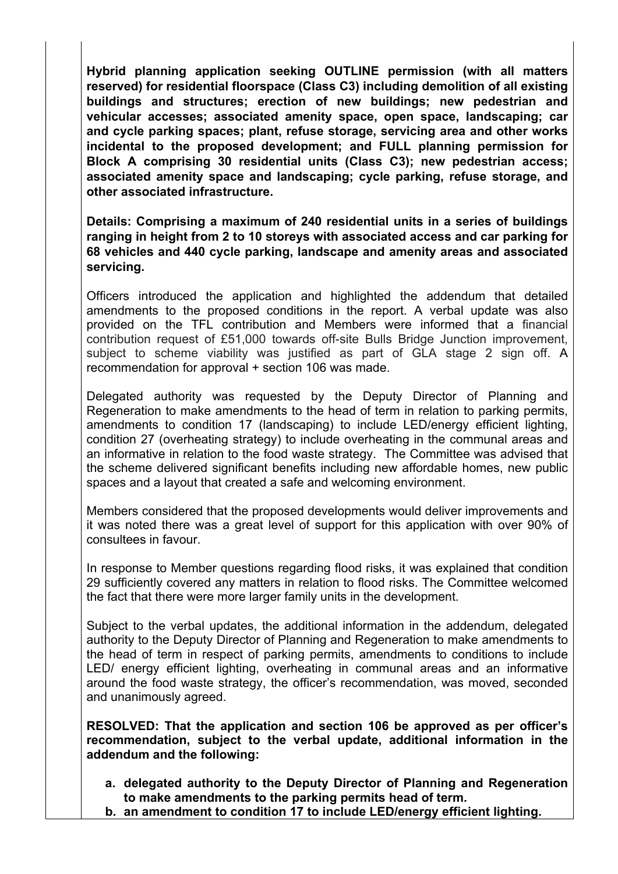**Hybrid planning application seeking OUTLINE permission (with all matters reserved) for residential floorspace (Class C3) including demolition of all existing buildings and structures; erection of new buildings; new pedestrian and vehicular accesses; associated amenity space, open space, landscaping; car and cycle parking spaces; plant, refuse storage, servicing area and other works incidental to the proposed development; and FULL planning permission for Block A comprising 30 residential units (Class C3); new pedestrian access; associated amenity space and landscaping; cycle parking, refuse storage, and other associated infrastructure.**

**Details: Comprising a maximum of 240 residential units in a series of buildings ranging in height from 2 to 10 storeys with associated access and car parking for 68 vehicles and 440 cycle parking, landscape and amenity areas and associated servicing.**

Officers introduced the application and highlighted the addendum that detailed amendments to the proposed conditions in the report. A verbal update was also provided on the TFL contribution and Members were informed that a financial contribution request of £51,000 towards off-site Bulls Bridge Junction improvement, subject to scheme viability was justified as part of GLA stage 2 sign off. A recommendation for approval + section 106 was made.

Delegated authority was requested by the Deputy Director of Planning and Regeneration to make amendments to the head of term in relation to parking permits, amendments to condition 17 (landscaping) to include LED/energy efficient lighting, condition 27 (overheating strategy) to include overheating in the communal areas and an informative in relation to the food waste strategy. The Committee was advised that the scheme delivered significant benefits including new affordable homes, new public spaces and a layout that created a safe and welcoming environment.

Members considered that the proposed developments would deliver improvements and it was noted there was a great level of support for this application with over 90% of consultees in favour.

In response to Member questions regarding flood risks, it was explained that condition 29 sufficiently covered any matters in relation to flood risks. The Committee welcomed the fact that there were more larger family units in the development.

Subject to the verbal updates, the additional information in the addendum, delegated authority to the Deputy Director of Planning and Regeneration to make amendments to the head of term in respect of parking permits, amendments to conditions to include LED/ energy efficient lighting, overheating in communal areas and an informative around the food waste strategy, the officer's recommendation, was moved, seconded and unanimously agreed.

**RESOLVED: That the application and section 106 be approved as per officer's recommendation, subject to the verbal update, additional information in the addendum and the following:**

- **a. delegated authority to the Deputy Director of Planning and Regeneration to make amendments to the parking permits head of term.**
- **b. an amendment to condition 17 to include LED/energy efficient lighting.**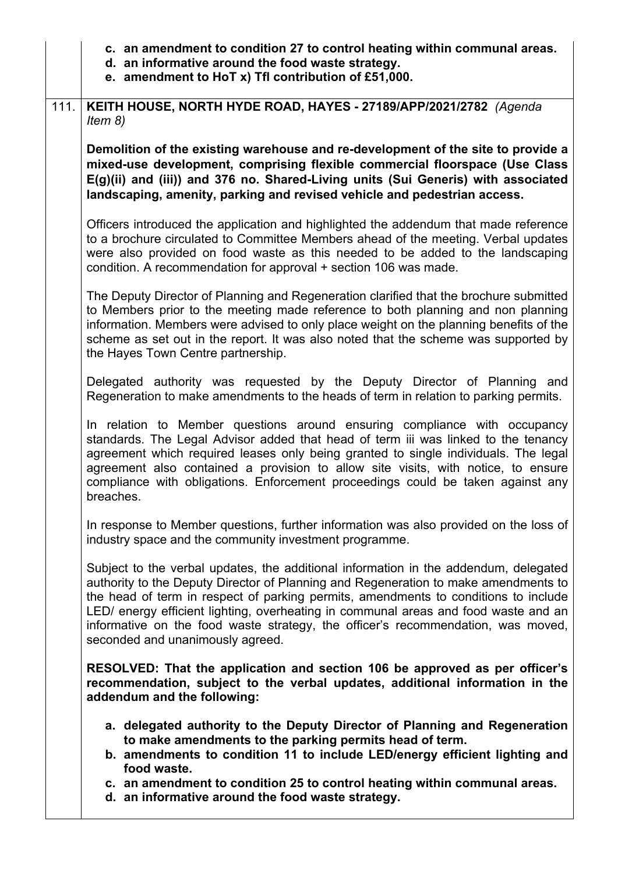|      | c. an amendment to condition 27 to control heating within communal areas.<br>d. an informative around the food waste strategy.<br>e. amendment to HoT x) Tfl contribution of £51,000.                                                                                                                                                                                                                                                                                             |
|------|-----------------------------------------------------------------------------------------------------------------------------------------------------------------------------------------------------------------------------------------------------------------------------------------------------------------------------------------------------------------------------------------------------------------------------------------------------------------------------------|
| 111. | KEITH HOUSE, NORTH HYDE ROAD, HAYES - 27189/APP/2021/2782 (Agenda<br>Item $8)$                                                                                                                                                                                                                                                                                                                                                                                                    |
|      | Demolition of the existing warehouse and re-development of the site to provide a<br>mixed-use development, comprising flexible commercial floorspace (Use Class<br>E(g)(ii) and (iii)) and 376 no. Shared-Living units (Sui Generis) with associated<br>landscaping, amenity, parking and revised vehicle and pedestrian access.                                                                                                                                                  |
|      | Officers introduced the application and highlighted the addendum that made reference<br>to a brochure circulated to Committee Members ahead of the meeting. Verbal updates<br>were also provided on food waste as this needed to be added to the landscaping<br>condition. A recommendation for approval + section 106 was made.                                                                                                                                                  |
|      | The Deputy Director of Planning and Regeneration clarified that the brochure submitted<br>to Members prior to the meeting made reference to both planning and non planning<br>information. Members were advised to only place weight on the planning benefits of the<br>scheme as set out in the report. It was also noted that the scheme was supported by<br>the Hayes Town Centre partnership.                                                                                 |
|      | Delegated authority was requested by the Deputy Director of Planning and<br>Regeneration to make amendments to the heads of term in relation to parking permits.                                                                                                                                                                                                                                                                                                                  |
|      | In relation to Member questions around ensuring compliance with occupancy<br>standards. The Legal Advisor added that head of term iii was linked to the tenancy<br>agreement which required leases only being granted to single individuals. The legal<br>agreement also contained a provision to allow site visits, with notice, to ensure<br>compliance with obligations. Enforcement proceedings could be taken against any<br>breaches.                                       |
|      | In response to Member questions, further information was also provided on the loss of<br>industry space and the community investment programme.                                                                                                                                                                                                                                                                                                                                   |
|      | Subject to the verbal updates, the additional information in the addendum, delegated<br>authority to the Deputy Director of Planning and Regeneration to make amendments to<br>the head of term in respect of parking permits, amendments to conditions to include<br>LED/ energy efficient lighting, overheating in communal areas and food waste and an<br>informative on the food waste strategy, the officer's recommendation, was moved,<br>seconded and unanimously agreed. |
|      | RESOLVED: That the application and section 106 be approved as per officer's<br>recommendation, subject to the verbal updates, additional information in the<br>addendum and the following:                                                                                                                                                                                                                                                                                        |
|      | a. delegated authority to the Deputy Director of Planning and Regeneration<br>to make amendments to the parking permits head of term.<br>b. amendments to condition 11 to include LED/energy efficient lighting and<br>food waste.                                                                                                                                                                                                                                                |
|      | c. an amendment to condition 25 to control heating within communal areas.<br>d. an informative around the food waste strategy.                                                                                                                                                                                                                                                                                                                                                    |